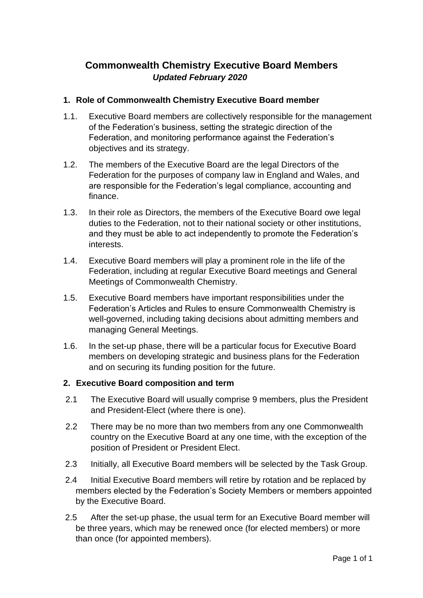# **Commonwealth Chemistry Executive Board Members** *Updated February 2020*

#### **1. Role of Commonwealth Chemistry Executive Board member**

- 1.1. Executive Board members are collectively responsible for the management of the Federation's business, setting the strategic direction of the Federation, and monitoring performance against the Federation's objectives and its strategy.
- 1.2. The members of the Executive Board are the legal Directors of the Federation for the purposes of company law in England and Wales, and are responsible for the Federation's legal compliance, accounting and finance.
- 1.3. In their role as Directors, the members of the Executive Board owe legal duties to the Federation, not to their national society or other institutions, and they must be able to act independently to promote the Federation's interests.
- 1.4. Executive Board members will play a prominent role in the life of the Federation, including at regular Executive Board meetings and General Meetings of Commonwealth Chemistry.
- 1.5. Executive Board members have important responsibilities under the Federation's Articles and Rules to ensure Commonwealth Chemistry is well-governed, including taking decisions about admitting members and managing General Meetings.
- 1.6. In the set-up phase, there will be a particular focus for Executive Board members on developing strategic and business plans for the Federation and on securing its funding position for the future.

#### **2. Executive Board composition and term**

- 2.1 The Executive Board will usually comprise 9 members, plus the President and President-Elect (where there is one).
- 2.2 There may be no more than two members from any one Commonwealth country on the Executive Board at any one time, with the exception of the position of President or President Elect.
- 2.3 Initially, all Executive Board members will be selected by the Task Group.
- 2.4 Initial Executive Board members will retire by rotation and be replaced by members elected by the Federation's Society Members or members appointed by the Executive Board.
- 2.5 After the set-up phase, the usual term for an Executive Board member will be three years, which may be renewed once (for elected members) or more than once (for appointed members).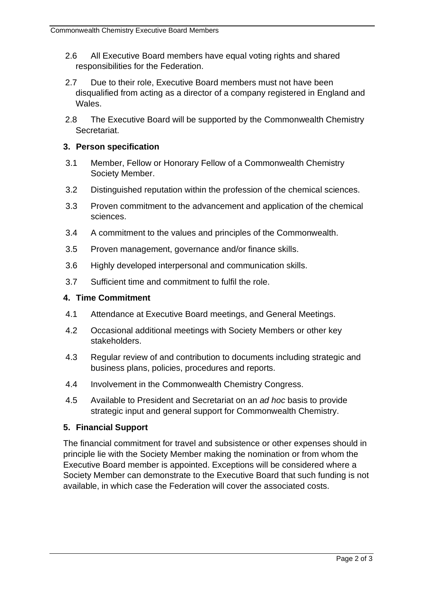- 2.6 All Executive Board members have equal voting rights and shared responsibilities for the Federation.
- 2.7 Due to their role, Executive Board members must not have been disqualified from acting as a director of a company registered in England and Wales.
- 2.8 The Executive Board will be supported by the Commonwealth Chemistry **Secretariat.**

### **3. Person specification**

- 3.1 Member, Fellow or Honorary Fellow of a Commonwealth Chemistry Society Member.
- 3.2 Distinguished reputation within the profession of the chemical sciences.
- 3.3 Proven commitment to the advancement and application of the chemical sciences.
- 3.4 A commitment to the values and principles of the Commonwealth.
- 3.5 Proven management, governance and/or finance skills.
- 3.6 Highly developed interpersonal and communication skills.
- 3.7 Sufficient time and commitment to fulfil the role.

### **4. Time Commitment**

- 4.1 Attendance at Executive Board meetings, and General Meetings.
- 4.2 Occasional additional meetings with Society Members or other key stakeholders.
- 4.3 Regular review of and contribution to documents including strategic and business plans, policies, procedures and reports.
- 4.4 Involvement in the Commonwealth Chemistry Congress.
- 4.5 Available to President and Secretariat on an *ad hoc* basis to provide strategic input and general support for Commonwealth Chemistry.

## **5. Financial Support**

The financial commitment for travel and subsistence or other expenses should in principle lie with the Society Member making the nomination or from whom the Executive Board member is appointed. Exceptions will be considered where a Society Member can demonstrate to the Executive Board that such funding is not available, in which case the Federation will cover the associated costs.